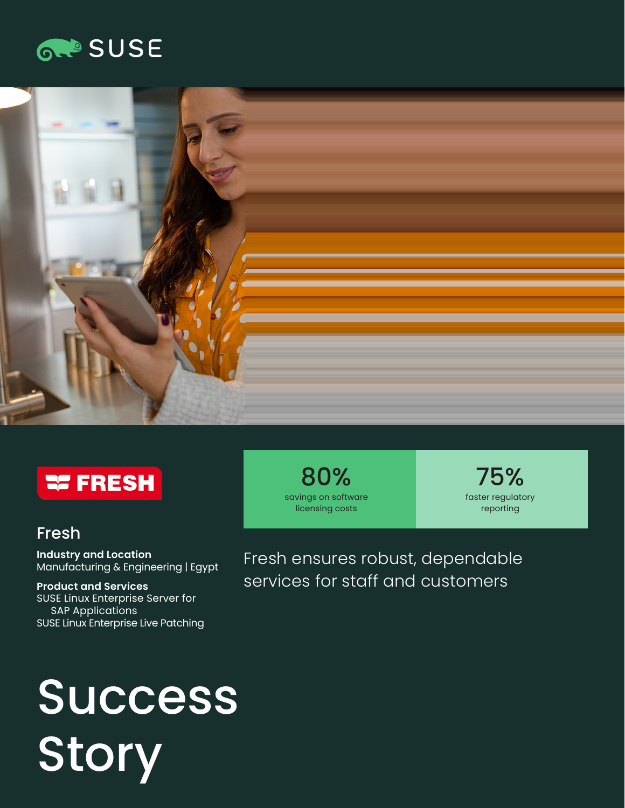





# Fresh

**Industry and Location**  Manufacturing & Engineering | Egypt

**Product and Services**  SUSE Linux Enterprise Server for SAP Applications SUSE Linux Enterprise Live Patching

80% savings on software licensing costs

75% faster regulatory reporting

Fresh ensures robust, dependable services for staff and customers

# Success Story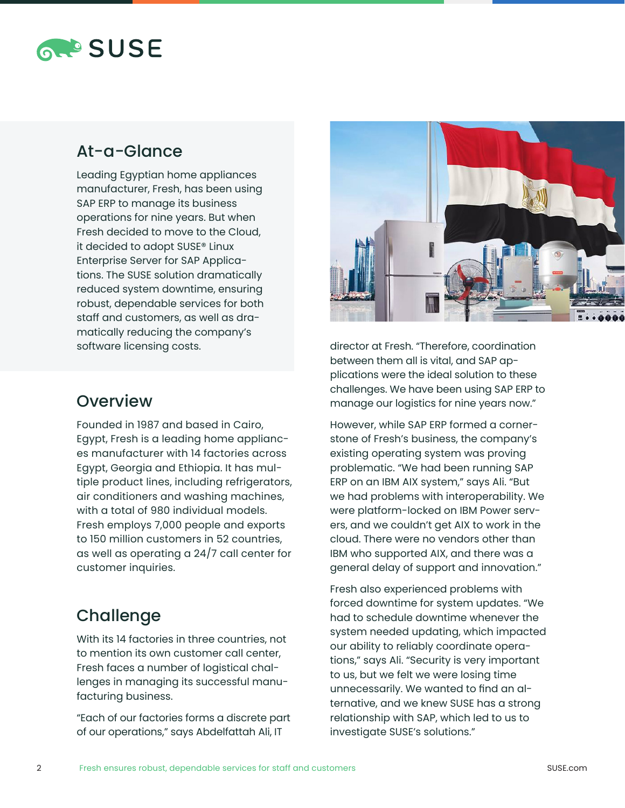

#### At-a-Glance

Leading Egyptian home appliances manufacturer, Fresh, has been using SAP ERP to manage its business operations for nine years. But when Fresh decided to move to the Cloud, it decided to adopt SUSE® Linux Enterprise Server for SAP Applications. The SUSE solution dramatically reduced system downtime, ensuring robust, dependable services for both staff and customers, as well as dramatically reducing the company's software licensing costs.



director at Fresh. "Therefore, coordination between them all is vital, and SAP applications were the ideal solution to these challenges. We have been using SAP ERP to manage our logistics for nine years now."

However, while SAP ERP formed a cornerstone of Fresh's business, the company's existing operating system was proving problematic. "We had been running SAP ERP on an IBM AIX system," says Ali. "But we had problems with interoperability. We were platform-locked on IBM Power servers, and we couldn't get AIX to work in the cloud. There were no vendors other than IBM who supported AIX, and there was a general delay of support and innovation."

Fresh also experienced problems with forced downtime for system updates. "We had to schedule downtime whenever the system needed updating, which impacted our ability to reliably coordinate operations," says Ali. "Security is very important to us, but we felt we were losing time unnecessarily. We wanted to find an alternative, and we knew SUSE has a strong relationship with SAP, which led to us to investigate SUSE's solutions."

#### **Overview**

Founded in 1987 and based in Cairo, Egypt, Fresh is a leading home appliances manufacturer with 14 factories across Egypt, Georgia and Ethiopia. It has multiple product lines, including refrigerators, air conditioners and washing machines, with a total of 980 individual models. Fresh employs 7,000 people and exports to 150 million customers in 52 countries, as well as operating a 24/7 call center for customer inquiries.

#### **Challenge**

With its 14 factories in three countries, not to mention its own customer call center, Fresh faces a number of logistical challenges in managing its successful manufacturing business.

"Each of our factories forms a discrete part of our operations," says Abdelfattah Ali, IT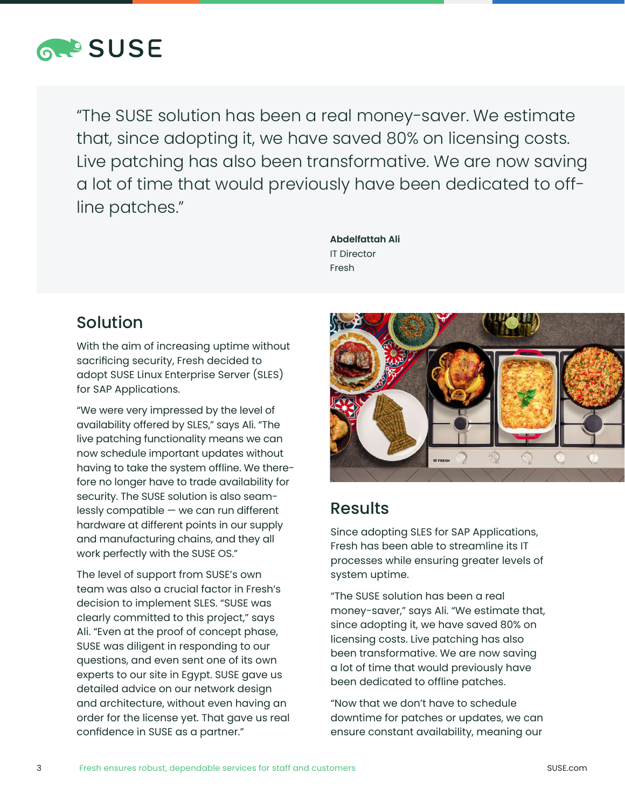

"The SUSE solution has been a real money-saver. We estimate that, since adopting it, we have saved 80% on licensing costs. Live patching has also been transformative. We are now saving a lot of time that would previously have been dedicated to offline patches."

> **Abdelfattah Ali** IT Director Fresh

# Solution

With the aim of increasing uptime without sacrificing security, Fresh decided to adopt SUSE Linux Enterprise Server (SLES) for SAP Applications.

"We were very impressed by the level of availability offered by SLES," says Ali. "The live patching functionality means we can now schedule important updates without having to take the system offline. We therefore no longer have to trade availability for security. The SUSE solution is also seamlessly compatible — we can run different hardware at different points in our supply and manufacturing chains, and they all work perfectly with the SUSE OS."

The level of support from SUSE's own team was also a crucial factor in Fresh's decision to implement SLES. "SUSE was clearly committed to this project," says Ali. "Even at the proof of concept phase, SUSE was diligent in responding to our questions, and even sent one of its own experts to our site in Egypt. SUSE gave us detailed advice on our network design and architecture, without even having an order for the license yet. That gave us real confidence in SUSE as a partner."



### Results

Since adopting SLES for SAP Applications, Fresh has been able to streamline its IT processes while ensuring greater levels of system uptime.

"The SUSE solution has been a real money-saver," says Ali. "We estimate that, since adopting it, we have saved 80% on licensing costs. Live patching has also been transformative. We are now saving a lot of time that would previously have been dedicated to offline patches.

"Now that we don't have to schedule downtime for patches or updates, we can ensure constant availability, meaning our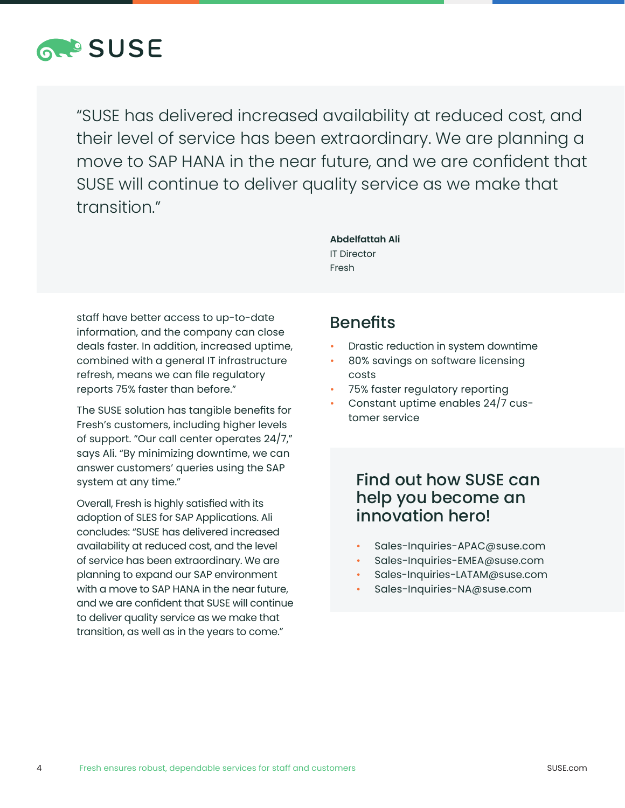

"SUSE has delivered increased availability at reduced cost, and their level of service has been extraordinary. We are planning a move to SAP HANA in the near future, and we are confident that SUSE will continue to deliver quality service as we make that transition."

> **Abdelfattah Ali** IT Director Fresh

staff have better access to up-to-date information, and the company can close deals faster. In addition, increased uptime, combined with a general IT infrastructure refresh, means we can file regulatory reports 75% faster than before."

The SUSE solution has tangible benefits for Fresh's customers, including higher levels of support. "Our call center operates 24/7," says Ali. "By minimizing downtime, we can answer customers' queries using the SAP system at any time."

Overall, Fresh is highly satisfied with its adoption of SLES for SAP Applications. Ali concludes: "SUSE has delivered increased availability at reduced cost, and the level of service has been extraordinary. We are planning to expand our SAP environment with a move to SAP HANA in the near future, and we are confident that SUSE will continue to deliver quality service as we make that transition, as well as in the years to come."

#### **Benefits**

- Drastic reduction in system downtime
- 80% savings on software licensing costs
- 75% faster regulatory reporting
- Constant uptime enables 24/7 customer service

#### Find out how SUSE can help you become an innovation hero!

- Sales-Inquiries-APAC@suse.com
- Sales-Inquiries-EMEA@suse.com
- Sales-Inquiries-LATAM@suse.com
- Sales-Inquiries-NA@suse.com